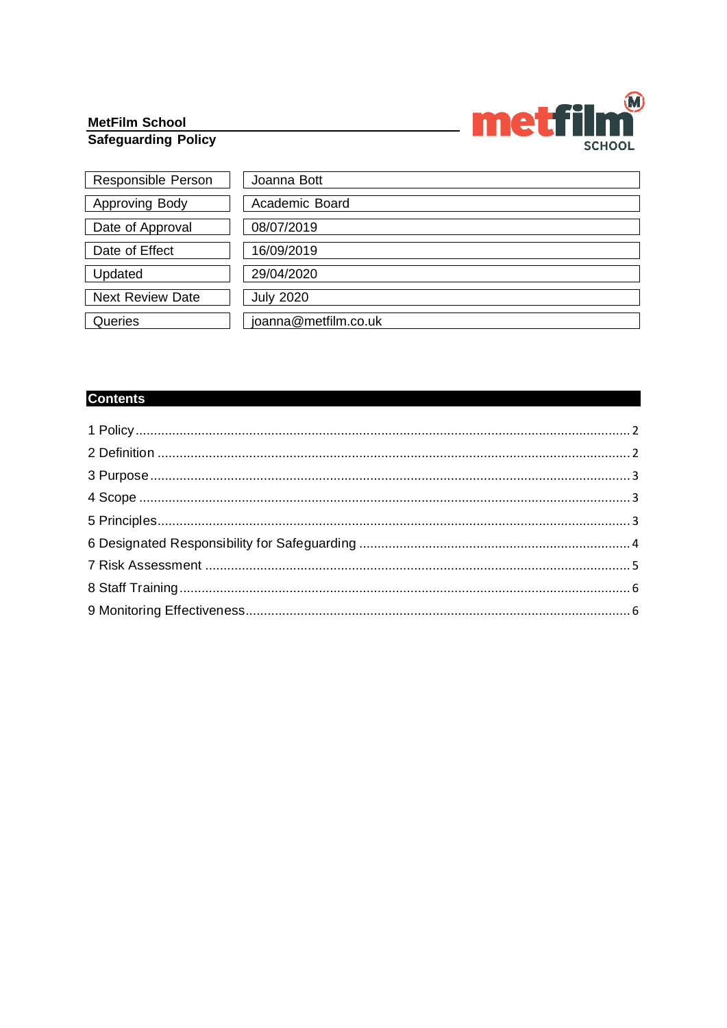# MetFilm School<br>Safeguarding Policy



| Responsible Person      | Joanna Bott          |
|-------------------------|----------------------|
| <b>Approving Body</b>   | Academic Board       |
| Date of Approval        | 08/07/2019           |
| Date of Effect          | 16/09/2019           |
| Updated                 | 29/04/2020           |
| <b>Next Review Date</b> | <b>July 2020</b>     |
| Queries                 | joanna@metfilm.co.uk |

# **Contents**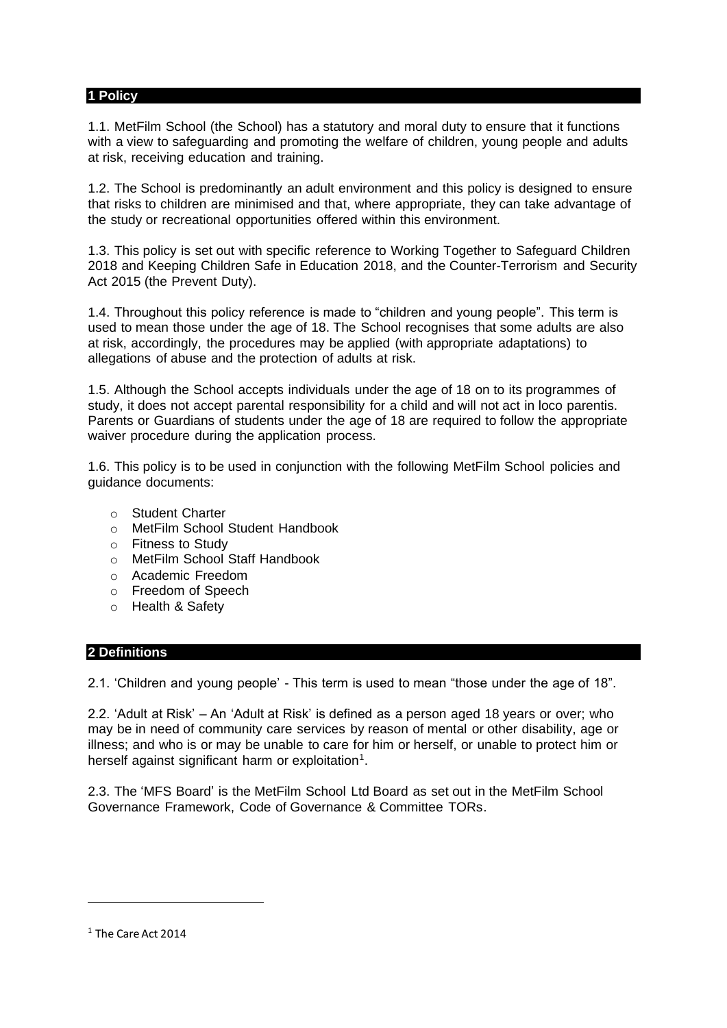#### <span id="page-1-0"></span>**1 Policy**

1.1. MetFilm School (the School) has a statutory and moral duty to ensure that it functions with a view to safeguarding and promoting the welfare of children, young people and adults at risk, receiving education and training.

1.2. The School is predominantly an adult environment and this policy is designed to ensure that risks to children are minimised and that, where appropriate, they can take advantage of the study or recreational opportunities offered within this environment.

1.3. This policy is set out with specific reference to Working Together to Safeguard Children 2018 and Keeping Children Safe in Education 2018, and the Counter-Terrorism and Security Act 2015 (the Prevent Duty).

1.4. Throughout this policy reference is made to "children and young people". This term is used to mean those under the age of 18. The School recognises that some adults are also at risk, accordingly, the procedures may be applied (with appropriate adaptations) to allegations of abuse and the protection of adults at risk.

1.5. Although the School accepts individuals under the age of 18 on to its programmes of study, it does not accept parental responsibility for a child and will not act in loco parentis. Parents or Guardians of students under the age of 18 are required to follow the appropriate waiver procedure during the application process.

1.6. This policy is to be used in conjunction with the following MetFilm School policies and guidance documents:

- o Student Charter
- o MetFilm School Student Handbook
- o Fitness to Study
- o MetFilm School Staff Handbook
- o Academic Freedom
- o Freedom of Speech
- o Health & Safety

#### <span id="page-1-1"></span>**2 Definitions**

2.1. 'Children and young people' - This term is used to mean "those under the age of 18".

2.2. 'Adult at Risk' – An 'Adult at Risk' is defined as a person aged 18 years or over; who may be in need of community care services by reason of mental or other disability, age or illness; and who is or may be unable to care for him or herself, or unable to protect him or herself against significant harm or exploitation<sup>1</sup>.

2.3. The 'MFS Board' is the MetFilm School Ltd Board as set out in the MetFilm School Governance Framework, Code of Governance & Committee TORs.

 $1$  The Care Act 2014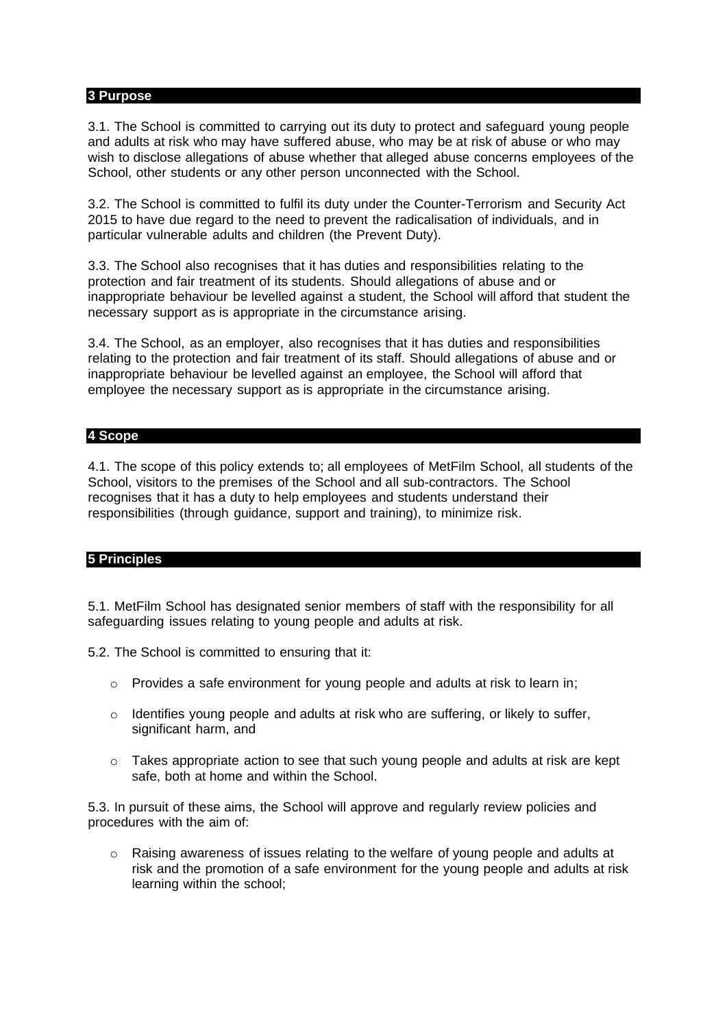# <span id="page-2-0"></span>**3 Purpose**

3.1. The School is committed to carrying out its duty to protect and safeguard young people and adults at risk who may have suffered abuse, who may be at risk of abuse or who may wish to disclose allegations of abuse whether that alleged abuse concerns employees of the School, other students or any other person unconnected with the School.

3.2. The School is committed to fulfil its duty under the Counter-Terrorism and Security Act 2015 to have due regard to the need to prevent the radicalisation of individuals, and in particular vulnerable adults and children (the Prevent Duty).

3.3. The School also recognises that it has duties and responsibilities relating to the protection and fair treatment of its students. Should allegations of abuse and or inappropriate behaviour be levelled against a student, the School will afford that student the necessary support as is appropriate in the circumstance arising.

3.4. The School, as an employer, also recognises that it has duties and responsibilities relating to the protection and fair treatment of its staff. Should allegations of abuse and or inappropriate behaviour be levelled against an employee, the School will afford that employee the necessary support as is appropriate in the circumstance arising.

# <span id="page-2-1"></span>**4 Scope**

4.1. The scope of this policy extends to; all employees of MetFilm School, all students of the School, visitors to the premises of the School and all sub-contractors. The School recognises that it has a duty to help employees and students understand their responsibilities (through guidance, support and training), to minimize risk.

# <span id="page-2-2"></span>**5 Principles**

5.1. MetFilm School has designated senior members of staff with the responsibility for all safeguarding issues relating to young people and adults at risk.

5.2. The School is committed to ensuring that it:

- $\circ$  Provides a safe environment for young people and adults at risk to learn in;
- o Identifies young people and adults at risk who are suffering, or likely to suffer, significant harm, and
- $\circ$  Takes appropriate action to see that such young people and adults at risk are kept safe, both at home and within the School.

5.3. In pursuit of these aims, the School will approve and regularly review policies and procedures with the aim of:

 $\circ$  Raising awareness of issues relating to the welfare of young people and adults at risk and the promotion of a safe environment for the young people and adults at risk learning within the school;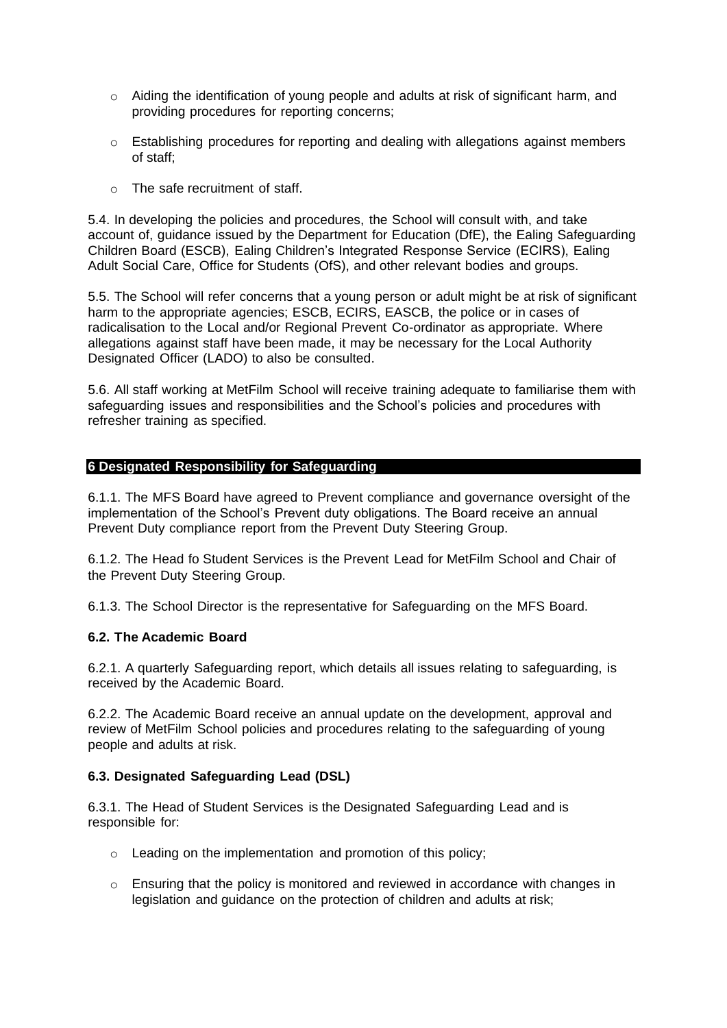- $\circ$  Aiding the identification of young people and adults at risk of significant harm, and providing procedures for reporting concerns;
- $\circ$  Establishing procedures for reporting and dealing with allegations against members of staff;
- o The safe recruitment of staff.

5.4. In developing the policies and procedures, the School will consult with, and take account of, guidance issued by the Department for Education (DfE), the Ealing Safeguarding Children Board (ESCB), Ealing Children's Integrated Response Service (ECIRS), Ealing Adult Social Care, Office for Students (OfS), and other relevant bodies and groups.

5.5. The School will refer concerns that a young person or adult might be at risk of significant harm to the appropriate agencies; ESCB, ECIRS, EASCB, the police or in cases of radicalisation to the Local and/or Regional Prevent Co-ordinator as appropriate. Where allegations against staff have been made, it may be necessary for the Local Authority Designated Officer (LADO) to also be consulted.

5.6. All staff working at MetFilm School will receive training adequate to familiarise them with safeguarding issues and responsibilities and the School's policies and procedures with refresher training as specified.

# <span id="page-3-0"></span>**6 Designated Responsibility for Safeguarding**

6.1.1. The MFS Board have agreed to Prevent compliance and governance oversight of the implementation of the School's Prevent duty obligations. The Board receive an annual Prevent Duty compliance report from the Prevent Duty Steering Group.

6.1.2. The Head fo Student Services is the Prevent Lead for MetFilm School and Chair of the Prevent Duty Steering Group.

6.1.3. The School Director is the representative for Safeguarding on the MFS Board.

#### **6.2. The Academic Board**

6.2.1. A quarterly Safeguarding report, which details all issues relating to safeguarding, is received by the Academic Board.

6.2.2. The Academic Board receive an annual update on the development, approval and review of MetFilm School policies and procedures relating to the safeguarding of young people and adults at risk.

### **6.3. Designated Safeguarding Lead (DSL)**

6.3.1. The Head of Student Services is the Designated Safeguarding Lead and is responsible for:

- o Leading on the implementation and promotion of this policy;
- $\circ$  Ensuring that the policy is monitored and reviewed in accordance with changes in legislation and guidance on the protection of children and adults at risk;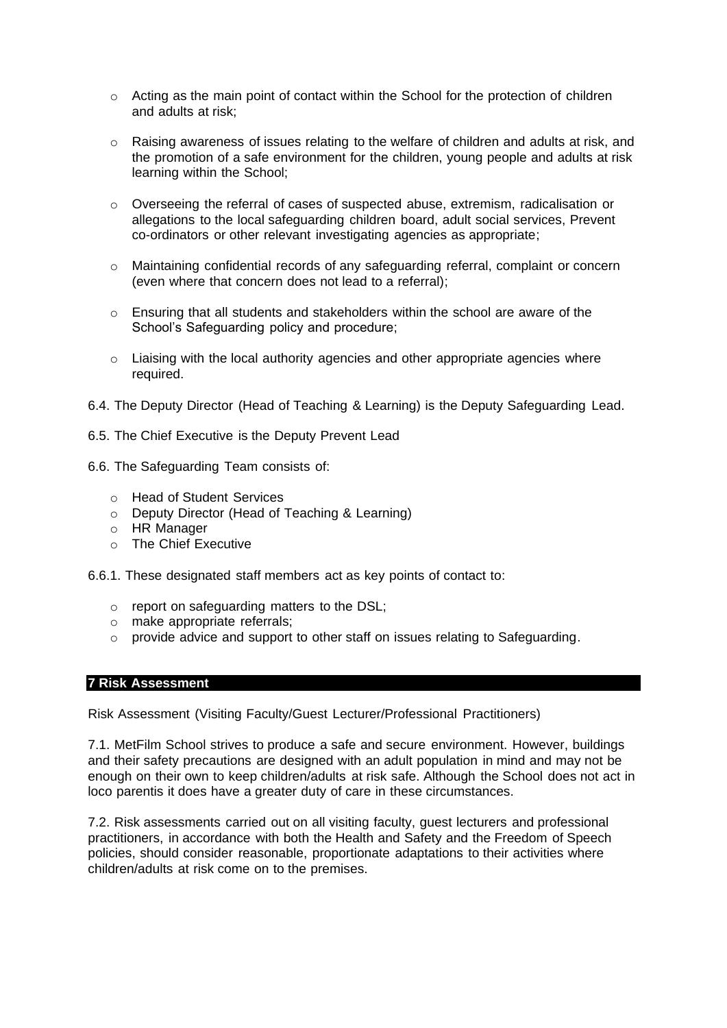- $\circ$  Acting as the main point of contact within the School for the protection of children and adults at risk;
- $\circ$  Raising awareness of issues relating to the welfare of children and adults at risk, and the promotion of a safe environment for the children, young people and adults at risk learning within the School;
- o Overseeing the referral of cases of suspected abuse, extremism, radicalisation or allegations to the local safeguarding children board, adult social services, Prevent co-ordinators or other relevant investigating agencies as appropriate;
- o Maintaining confidential records of any safeguarding referral, complaint or concern (even where that concern does not lead to a referral);
- $\circ$  Ensuring that all students and stakeholders within the school are aware of the School's Safeguarding policy and procedure;
- $\circ$  Liaising with the local authority agencies and other appropriate agencies where required.
- 6.4. The Deputy Director (Head of Teaching & Learning) is the Deputy Safeguarding Lead.
- 6.5. The Chief Executive is the Deputy Prevent Lead
- 6.6. The Safeguarding Team consists of:
	- o Head of Student Services
	- o Deputy Director (Head of Teaching & Learning)
	- o HR Manager
	- o The Chief Executive
- 6.6.1. These designated staff members act as key points of contact to:
	- o report on safeguarding matters to the DSL;
	- o make appropriate referrals;
	- o provide advice and support to other staff on issues relating to Safeguarding.

# <span id="page-4-0"></span>**7 Risk Assessment**

Risk Assessment (Visiting Faculty/Guest Lecturer/Professional Practitioners)

7.1. MetFilm School strives to produce a safe and secure environment. However, buildings and their safety precautions are designed with an adult population in mind and may not be enough on their own to keep children/adults at risk safe. Although the School does not act in loco parentis it does have a greater duty of care in these circumstances.

7.2. Risk assessments carried out on all visiting faculty, guest lecturers and professional practitioners, in accordance with both the Health and Safety and the Freedom of Speech policies, should consider reasonable, proportionate adaptations to their activities where children/adults at risk come on to the premises.